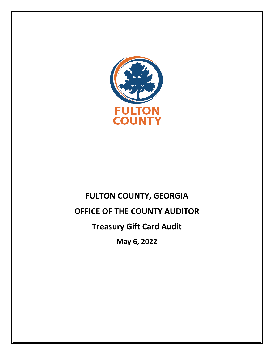

# **FULTON COUNTY, GEORGIA OFFICE OF THE COUNTY AUDITOR Treasury Gift Card Audit May 6, 2022**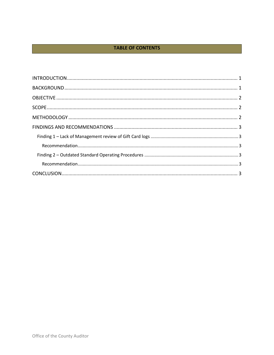# **TABLE OF CONTENTS**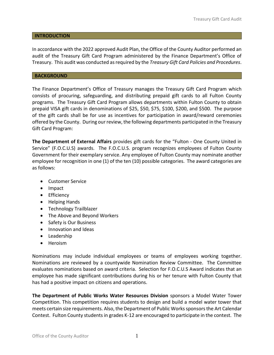# <span id="page-2-0"></span>**INTRODUCTION**

In accordance with the 2022 approved Audit Plan, the Office of the County Auditor performed an audit of the Treasury Gift Card Program administered by the Finance Department's Office of Treasury. This audit was conducted as required by the *Treasury Gift Card Policies and Procedures*.

# <span id="page-2-1"></span>**BACKGROUND**

The Finance Department's Office of Treasury manages the Treasury Gift Card Program which consists of procuring, safeguarding, and distributing prepaid gift cards to all Fulton County programs. The Treasury Gift Card Program allows departments within Fulton County to obtain prepaid VISA gift cards in denominations of \$25, \$50, \$75, \$100, \$200, and \$500. The purpose of the gift cards shall be for use as incentives for participation in award/reward ceremonies offered by the County. During our review, the following departments participated in the Treasury Gift Card Program:

**The Department of External Affairs** provides gift cards for the "Fulton - One County United in Service" (F.O.C.U.S) awards. The F.O.C.U.S. program recognizes employees of Fulton County Government for their exemplary service. Any employee of Fulton County may nominate another employee for recognition in one (1) of the ten (10) possible categories. The award categories are as follows:

- Customer Service
- Impact
- **•** Efficiency
- Helping Hands
- Technology Trailblazer
- The Above and Beyond Workers
- Safety is Our Business
- Innovation and Ideas
- Leadership
- Heroism

Nominations may include individual employees or teams of employees working together. Nominations are reviewed by a countywide Nomination Review Committee. The Committee evaluates nominations based on award criteria. Selection for F.O.C.U.S Award indicates that an employee has made significant contributions during his or her tenure with Fulton County that has had a positive impact on citizens and operations.

**The Department of Public Works Water Resources Division** sponsors a Model Water Tower Competition. This competition requires students to design and build a model water tower that meets certain size requirements. Also, the Department of Public Works sponsors the Art Calendar Contest. Fulton County students in grades K-12 are encouraged to participate in the contest. The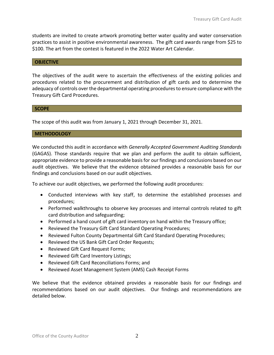students are invited to create artwork promoting better water quality and water conservation practices to assist in positive environmental awareness. The gift card awards range from \$25 to \$100. The art from the contest is featured in the 2022 Water Art Calendar.

# <span id="page-3-0"></span>**OBJECTIVE**

The objectives of the audit were to ascertain the effectiveness of the existing policies and procedures related to the procurement and distribution of gift cards and to determine the adequacy of controls over the departmental operating procedures to ensure compliance with the Treasury Gift Card Procedures.

#### <span id="page-3-1"></span>**SCOPE**

The scope of this audit was from January 1, 2021 through December 31, 2021.

# <span id="page-3-2"></span>**METHODOLOGY**

We conducted this audit in accordance with *Generally Accepted Government Auditing Standards* (GAGAS). Those standards require that we plan and perform the audit to obtain sufficient, appropriate evidence to provide a reasonable basis for our findings and conclusions based on our audit objectives. We believe that the evidence obtained provides a reasonable basis for our findings and conclusions based on our audit objectives.

To achieve our audit objectives, we performed the following audit procedures:

- Conducted interviews with key staff, to determine the established processes and procedures;
- Performed walkthroughs to observe key processes and internal controls related to gift card distribution and safeguarding;
- Performed a hand count of gift card inventory on hand within the Treasury office;
- Reviewed the Treasury Gift Card Standard Operating Procedures;
- Reviewed Fulton County Departmental Gift Card Standard Operating Procedures;
- Reviewed the US Bank Gift Card Order Requests;
- Reviewed Gift Card Request Forms;
- Reviewed Gift Card Inventory Listings;
- Reviewed Gift Card Reconciliations Forms; and
- Reviewed Asset Management System (AMS) Cash Receipt Forms

We believe that the evidence obtained provides a reasonable basis for our findings and recommendations based on our audit objectives. Our findings and recommendations are detailed below.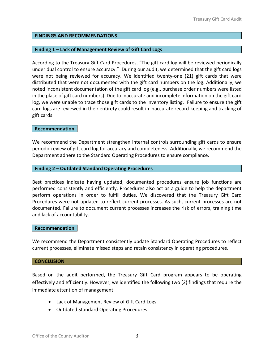# <span id="page-4-0"></span>**FINDINGS AND RECOMMENDATIONS**

# <span id="page-4-1"></span>**Finding 1 – Lack of Management Review of Gift Card Logs**

According to the Treasury Gift Card Procedures, "The gift card log will be reviewed periodically under dual control to ensure accuracy." During our audit, we determined that the gift card logs were not being reviewed for accuracy. We identified twenty-one (21) gift cards that were distributed that were not documented with the gift card numbers on the log. Additionally, we noted inconsistent documentation of the gift card log (e.g., purchase order numbers were listed in the place of gift card numbers). Due to inaccurate and incomplete information on the gift card log, we were unable to trace those gift cards to the inventory listing. Failure to ensure the gift card logs are reviewed in their entirety could result in inaccurate record-keeping and tracking of gift cards.

# <span id="page-4-2"></span>**Recommendation**

We recommend the Department strengthen internal controls surrounding gift cards to ensure periodic review of gift card log for accuracy and completeness. Additionally, we recommend the Department adhere to the Standard Operating Procedures to ensure compliance.

# <span id="page-4-3"></span>**Finding 2 – Outdated Standard Operating Procedures**

Best practices indicate having updated, documented procedures ensure job functions are performed consistently and efficiently. Procedures also act as a guide to help the department perform operations in order to fulfill duties. We discovered that the Treasury Gift Card Procedures were not updated to reflect current processes. As such, current processes are not documented. Failure to document current processes increases the risk of errors, training time and lack of accountability.

# <span id="page-4-4"></span>**Recommendation**

We recommend the Department consistently update Standard Operating Procedures to reflect current processes, eliminate missed steps and retain consistency in operating procedures.

# <span id="page-4-5"></span>**CONCLUSION**

Based on the audit performed, the Treasury Gift Card program appears to be operating effectively and efficiently. However, we identified the following two (2) findings that require the immediate attention of management:

- Lack of Management Review of Gift Card Logs
- Outdated Standard Operating Procedures